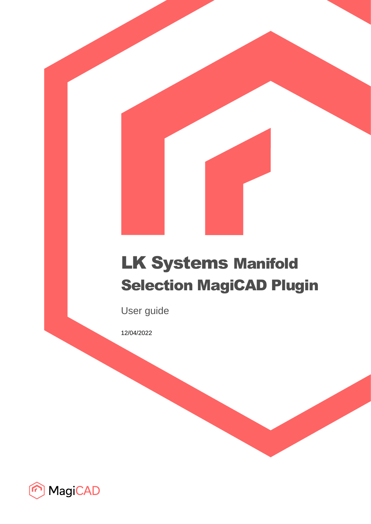# LK Systems Manifold Selection MagiCAD Plugin

User guide

12/04/2022

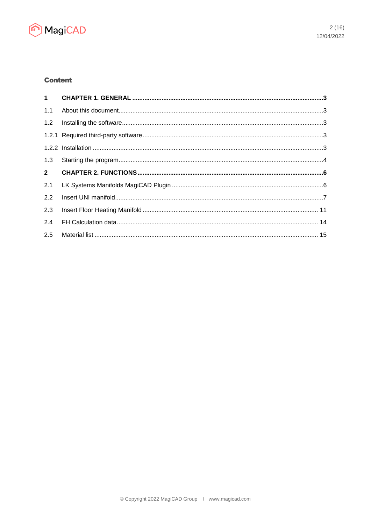

# **Content**

| 1.1         |  |
|-------------|--|
| 1.2         |  |
|             |  |
|             |  |
| 1.3         |  |
|             |  |
| $2^{\circ}$ |  |
| 2.1         |  |
| 2.2         |  |
| 2.3         |  |
| 2.4         |  |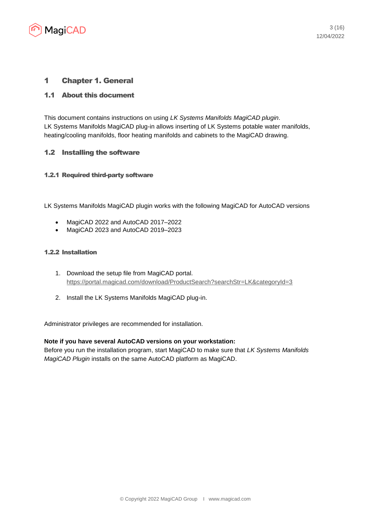

# 1 Chapter 1. General

## 1.1 About this document

This document contains instructions on using *LK Systems Manifolds MagiCAD plugin*. LK Systems Manifolds MagiCAD plug-in allows inserting of LK Systems potable water manifolds, heating/cooling manifolds, floor heating manifolds and cabinets to the MagiCAD drawing.

#### 1.2 Installing the software

#### 1.2.1 Required third-party software

LK Systems Manifolds MagiCAD plugin works with the following MagiCAD for AutoCAD versions

- MagiCAD 2022 and AutoCAD 2017–2022
- MagiCAD 2023 and AutoCAD 2019-2023

#### 1.2.2 Installation

- 1. Download the setup file from MagiCAD portal. <https://portal.magicad.com/download/ProductSearch?searchStr=LK&categoryId=3>
- 2. Install the LK Systems Manifolds MagiCAD plug-in.

Administrator privileges are recommended for installation.

#### **Note if you have several AutoCAD versions on your workstation:**

Before you run the installation program, start MagiCAD to make sure that *LK Systems Manifolds MagiCAD Plugin* installs on the same AutoCAD platform as MagiCAD.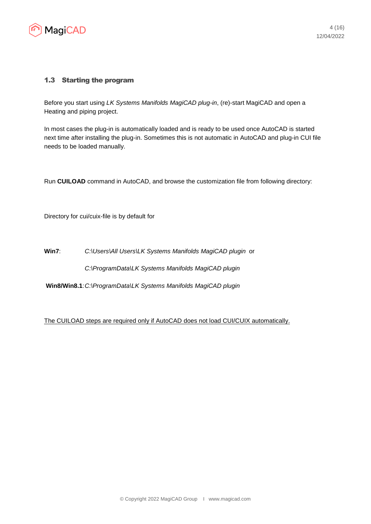

## 1.3 Starting the program

Before you start using *LK Systems Manifolds MagiCAD plug-in*, (re)-start MagiCAD and open a Heating and piping project.

In most cases the plug-in is automatically loaded and is ready to be used once AutoCAD is started next time after installing the plug-in. Sometimes this is not automatic in AutoCAD and plug-in CUI file needs to be loaded manually.

Run **CUILOAD** command in AutoCAD, and browse the customization file from following directory:

Directory for cui/cuix-file is by default for

**Win7**: *C:\Users\All Users\LK Systems Manifolds MagiCAD plugin* or *C:\ProgramData\LK Systems Manifolds MagiCAD plugin*

**Win8/Win8.1**:*C:\ProgramData\LK Systems Manifolds MagiCAD plugin*

The CUILOAD steps are required only if AutoCAD does not load CUI/CUIX automatically.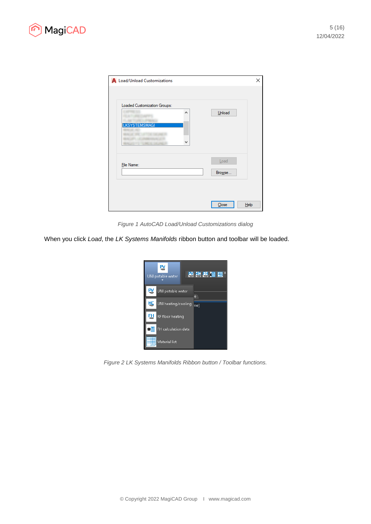



| A Load/Unload Customizations                                   |                | ×    |
|----------------------------------------------------------------|----------------|------|
| Loaded Customization Groups:<br>۸<br><b>LKSYSTEMSMAGI</b><br>٧ | Unload         |      |
| File Name:                                                     | Load<br>Browse |      |
|                                                                | Close          | Help |

*Figure 1 AutoCAD Load/Unload Customizations dialog*

When you click *Load*, the *LK Systems Manifolds* ribbon button and toolbar will be loaded.



*Figure 2 LK Systems Manifolds Ribbon button / Toolbar functions.*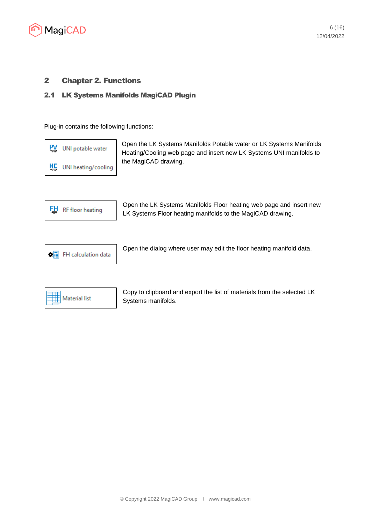

# 2 Chapter 2. Functions

## 2.1 LK Systems Manifolds MagiCAD Plugin

Plug-in contains the following functions:



Open the LK Systems Manifolds Potable water or LK Systems Manifolds Heating/Cooling web page and insert new LK Systems UNI manifolds to the MagiCAD drawing.



Open the LK Systems Manifolds Floor heating web page and insert new LK Systems Floor heating manifolds to the MagiCAD drawing.



Open the dialog where user may edit the floor heating manifold data.



Copy to clipboard and export the list of materials from the selected LK Systems manifolds.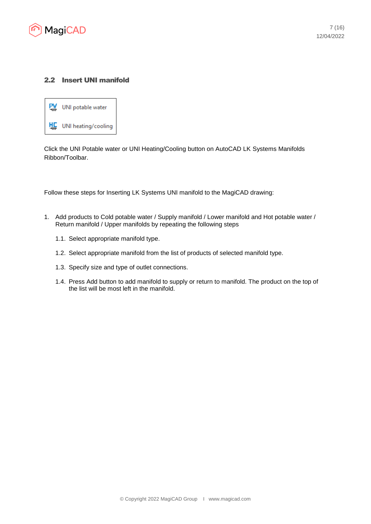

## 2.2 Insert UNI manifold



Click the UNI Potable water or UNI Heating/Cooling button on AutoCAD LK Systems Manifolds Ribbon/Toolbar.

Follow these steps for Inserting LK Systems UNI manifold to the MagiCAD drawing:

- 1. Add products to Cold potable water / Supply manifold / Lower manifold and Hot potable water / Return manifold / Upper manifolds by repeating the following steps
	- 1.1. Select appropriate manifold type.
	- 1.2. Select appropriate manifold from the list of products of selected manifold type.
	- 1.3. Specify size and type of outlet connections.
	- 1.4. Press Add button to add manifold to supply or return to manifold. The product on the top of the list will be most left in the manifold.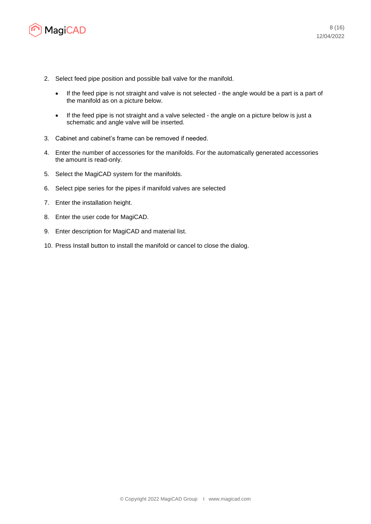

- 2. Select feed pipe position and possible ball valve for the manifold.
	- If the feed pipe is not straight and valve is not selected the angle would be a part is a part of the manifold as on a picture below.
	- If the feed pipe is not straight and a valve selected the angle on a picture below is just a schematic and angle valve will be inserted.
- 3. Cabinet and cabinet's frame can be removed if needed.
- 4. Enter the number of accessories for the manifolds. For the automatically generated accessories the amount is read-only.
- 5. Select the MagiCAD system for the manifolds.
- 6. Select pipe series for the pipes if manifold valves are selected
- 7. Enter the installation height.
- 8. Enter the user code for MagiCAD.
- 9. Enter description for MagiCAD and material list.
- 10. Press Install button to install the manifold or cancel to close the dialog.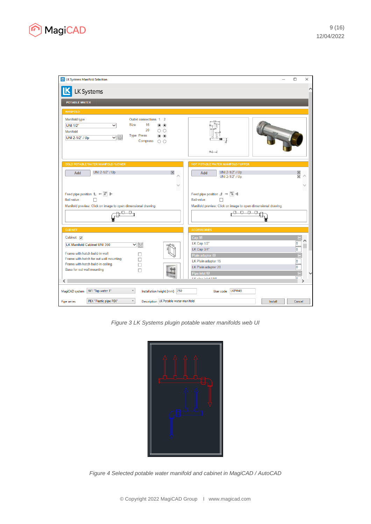

| <b>K</b> LK Systems Manifold Selection                                                          | ×<br>□                                                                                           |
|-------------------------------------------------------------------------------------------------|--------------------------------------------------------------------------------------------------|
| LK Systems                                                                                      | ∧                                                                                                |
|                                                                                                 |                                                                                                  |
| <b>POTABLE WATER</b>                                                                            |                                                                                                  |
| <b>MANIFOLD</b><br>Manifold type<br>Outlet connections 1<br>$\overline{2}$                      |                                                                                                  |
| <b>Size</b><br>16<br><b>UNI 1/2"</b><br>$\circ$<br>$\checkmark$<br>◉                            |                                                                                                  |
| 20<br>$\circ$<br>O<br>Manifold<br><b>Type Press</b><br>$\circledbullet$<br>$\odot$              |                                                                                                  |
| ▼園<br>UNI 2-1/2" / Up<br>Compress<br>$\circ$                                                    |                                                                                                  |
|                                                                                                 | $50 - -$                                                                                         |
|                                                                                                 |                                                                                                  |
| <b>COLD POTABLE WATER MANIFOLD / LOWER</b><br>UNI 2-1/2" / Up                                   | HOT POTABLE WATER MANIFOLD / UPPER<br>UNI 2-1/2" / Up                                            |
| $\mathbb{X}$<br>Add                                                                             | Add<br><b>UNI 2-1/2" / Up</b><br>$\overline{\mathbb{X}}$                                         |
| $\checkmark$                                                                                    |                                                                                                  |
| Feed pipe position $f{L} \leftarrow \fbox{$F$} \not\models$                                     | Feed pipe position $\vert \bot \vert \rightarrow \vert \overline{\bot} \vert \Downarrow \bot$    |
| <b>Ball valve</b><br>Manifold preview: Click on image to open dimensional drawing.              | <b>Ball valve</b><br>п<br>Manifold preview: Click on image to open dimensional drawing.          |
| ਰੀ                                                                                              | <b>PERCEPT</b>                                                                                   |
|                                                                                                 |                                                                                                  |
| <b>CABINET</b>                                                                                  | <b>ACCESSORIES</b>                                                                               |
| Cabinet $\nabla$                                                                                | Cap 图                                                                                            |
| LK Manifold Cabinet UNI 350<br>Ⅵ關                                                               | $\overline{\mathbf{0}}$<br>LK Cap 1/2"<br>$\bf{0}$<br>LK Cap 3/4"                                |
| Frame with hatch build-in wall<br>Frame with hatch for out wall mounting                        |                                                                                                  |
| Frame with hatch build-in ceiling.<br>п                                                         | $\overline{\mathbf{0}}$<br>LK Plain adapter 15<br>$\overline{\mathbf{0}}$<br>LK Plain adapter 20 |
| Base for out wall mounting<br>П                                                                 | Pipe inlet <b>E</b>                                                                              |
| $\langle$                                                                                       | $\overline{a}$<br>LIZ plan inter LINIL                                                           |
| W1 "Tap water 1"<br>$\checkmark$<br>250<br>MagiCAD system<br>Installation height (mm)           | LKPW49<br>User code                                                                              |
| PEX "Plastic pipe PEX"<br>$\vee$<br>Description LK Potable water manifold<br><b>Pipe series</b> | Install<br>Cancel                                                                                |

*Figure 3 LK Systems plugin potable water manifolds web UI*

| Ц<br>\$<br>---<br>$\frac{1}{2}$<br>Ò |
|--------------------------------------|
| $\Box$<br>L,<br>ļ                    |
|                                      |

*Figure 4 Selected potable water manifold and cabinet in MagiCAD / AutoCAD*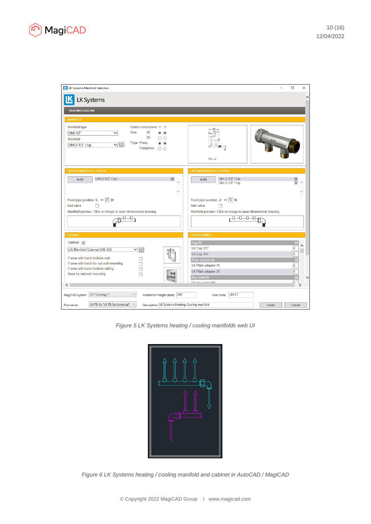

| <b>K</b> LK Systems Manifold Selection                                                                                                                                                                            | $\Box$<br>$\times$                                                                                       |
|-------------------------------------------------------------------------------------------------------------------------------------------------------------------------------------------------------------------|----------------------------------------------------------------------------------------------------------|
| <b>LK Systems</b>                                                                                                                                                                                                 |                                                                                                          |
| <b>HEATING/COOLING</b>                                                                                                                                                                                            |                                                                                                          |
| <b>MANIFOLD</b>                                                                                                                                                                                                   |                                                                                                          |
| Manifold type<br>Outlet connections 1 2<br>16<br><b>Size</b><br>UNI 1/2"<br>$\circ$ $\circ$<br>v<br>20<br>O O<br>Manifold<br><b>Type Press</b><br>$\circ$ $\circ$<br>▼■<br>UNI 2-1/2" / Up<br>Compress $\bigcirc$ | $50 -$                                                                                                   |
| <b>SUPPLY MANIFOLD / LOWER</b>                                                                                                                                                                                    | <b>RETURN MANIFOLD / UPPER</b>                                                                           |
| UNI 2-1/2" / Up<br>$\mathbb{R}$<br>Add                                                                                                                                                                            | UNI 2-1/2" / Up<br>$\times$<br>Add<br>UNI 2-1/2" / Up                                                    |
|                                                                                                                                                                                                                   |                                                                                                          |
| Feed pipe position $f{L} \leftarrow \f{F} \uparrow$<br><b>Ball valve</b><br>п                                                                                                                                     | Feed pipe position $\vert \bot \vert \rightarrow \vert \top \vert \cdot \Vert$<br><b>Ball valve</b><br>П |
| Manifold preview: Click on image to open dimensional drawing.                                                                                                                                                     | Manifold preview: Click on image to open dimensional drawing.                                            |
|                                                                                                                                                                                                                   | 포포마                                                                                                      |
| <b>CABINET</b>                                                                                                                                                                                                    | <b>ACCESSORIES</b>                                                                                       |
| Cabinet $\sqrt{}$<br>LK Manifold Cabinet UNI 350<br>$\mathbf{v}$ iii                                                                                                                                              | Cap<br>⊟<br>$\frac{0}{0}$<br>LK Cap 1/2"<br>LK Cap 3/4"                                                  |
| Frame with hatch build-in wall<br>Frame with hatch for out wall mounting                                                                                                                                          | Plain adapter 图                                                                                          |
| Frame with hatch build-in ceiling.<br>п                                                                                                                                                                           | $\frac{0}{0}$<br>LK Plain adapter 15                                                                     |
| Base for out wall mounting                                                                                                                                                                                        | LK Plain adapter 20<br>Pipe inlet <b>B</b><br>▤                                                          |
| $\overline{\left\langle \right\rangle }$                                                                                                                                                                          | LIZ winn inter LIMI<br>$\overline{\phantom{a}}$                                                          |
| Installation height (mm) 250<br>C1 "Cooling 1"<br>$\checkmark$<br>MagiCAD system                                                                                                                                  | LKHC1<br>User code                                                                                       |
| LK PE-Xa "LK PE-Xa Universal"<br>$\checkmark$<br>Description LK Systems Heating-Cooling manifold<br>Pipe series                                                                                                   | Install<br>Cancel                                                                                        |

*Figure 5 LK Systems heating / cooling manifolds web UI*



*Figure 6 LK Systems heating / cooling manifold and cabinet in AutoCAD / MagiCAD*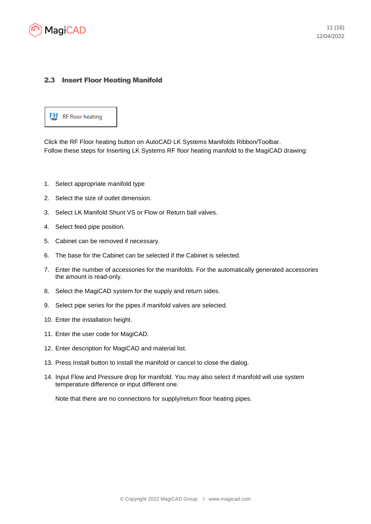

## 2.3 Insert Floor Heating Manifold



Click the RF Floor heating button on AutoCAD LK Systems Manifolds Ribbon/Toolbar. Follow these steps for Inserting LK Systems RF floor heating manifold to the MagiCAD drawing:

- 1. Select appropriate manifold type
- 2. Select the size of outlet dimension.
- 3. Select LK Manifold Shunt VS or Flow or Return ball valves.
- 4. Select feed pipe position.
- 5. Cabinet can be removed if necessary.
- 6. The base for the Cabinet can be selected if the Cabinet is selected.
- 7. Enter the number of accessories for the manifolds. For the automatically generated accessories the amount is read-only.
- 8. Select the MagiCAD system for the supply and return sides.
- 9. Select pipe series for the pipes if manifold valves are selected.
- 10. Enter the installation height.
- 11. Enter the user code for MagiCAD.
- 12. Enter description for MagiCAD and material list.
- 13. Press Install button to install the manifold or cancel to close the dialog.
- 14. Input Flow and Pressure drop for manifold. You may also select if manifold will use system temperature difference or input different one.

Note that there are no connections for supply/return floor heating pipes.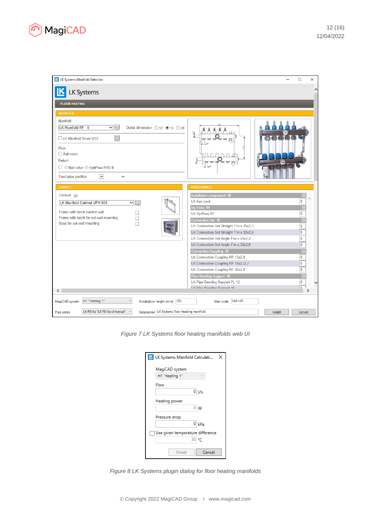

| <b>K</b> LK Systems Manifold Selection                                                                  | $\Box$<br>$\times$                                          |
|---------------------------------------------------------------------------------------------------------|-------------------------------------------------------------|
|                                                                                                         | ∧                                                           |
| <b>LK Systems</b>                                                                                       |                                                             |
| <b>FLOOR HEATING</b>                                                                                    |                                                             |
| <b>MANIFOLD</b>                                                                                         |                                                             |
| Manifold                                                                                                |                                                             |
| LK Manifold RF - 5<br>Ⅴ鬮<br>Outlet dimension $\bigcirc$ 12 $\bigcirc$ 16 $\bigcirc$ 20                  |                                                             |
| ■<br><b>LK Manifold Shunt VS2</b>                                                                       |                                                             |
| Flow                                                                                                    |                                                             |
| $\Box$ Ball valve                                                                                       |                                                             |
| Return                                                                                                  |                                                             |
| □ O Ball valve O OptiFlow EVO II                                                                        |                                                             |
| $\rightarrow$<br>Feed pipe position<br>$\leftarrow$                                                     |                                                             |
| <b>CABINET</b>                                                                                          | <b>ACCESSORIES</b>                                          |
|                                                                                                         |                                                             |
| Cabinet $\sqrt{}$                                                                                       | Installation component 图<br><b>LK Key Lock</b><br>$\bf{0}$  |
| LK Manifold Cabinet UFH 800<br>$\mathbf{v}$ iii                                                         | By-Pass 单                                                   |
| Frame with hatch build-in wall                                                                          | 0<br>LK By-Pass RF                                          |
| Frame with hatch for out wall mounting                                                                  | Connection Set 单                                            |
| Base for out wall mounting<br>П                                                                         | LK Connection Set Straight 1"m x 25x2,3<br>$\bf{0}$         |
|                                                                                                         | $\bf{0}$<br>LK Connection Set Straight 1"m x 32x2,9         |
|                                                                                                         | LK Connection Set Angle 1"m x 25x2,3<br>$\bf{0}$            |
|                                                                                                         | LK Connection Set Angle 1"m x 32x2,9<br>$\bf{0}$            |
|                                                                                                         | Connection Coupling 图                                       |
|                                                                                                         | 0<br>LK Connection Coupling RF 12x2,0                       |
|                                                                                                         | 0<br>LK Connection Coupling RF 16x2,/2,2                    |
|                                                                                                         | $\overline{\mathbf{0}}$<br>LK Connection Coupling RF 20x2,0 |
|                                                                                                         | Pipe Bending Support 图                                      |
|                                                                                                         | 0<br>LK Pipe Bending Support PL 12                          |
| $\overline{\phantom{a}}$                                                                                | <b>LK Ding Ronding Support 16</b><br>'n                     |
| H1 "Heating 1"<br>v<br>Installation height (mm) 250<br>MagiCAD system                                   | LKFH39<br>User code                                         |
| LK PE-Xa "LK PE-Xa Universal"<br>$\vee$<br>Description LK Systems floor heating manifold<br>Pipe series | Install<br>Cancel                                           |

*Figure 7 LK Systems floor heating manifolds web UI*

| <b>K</b> LK Systems Manifold Calculati<br>× |
|---------------------------------------------|
| MagiCAD system                              |
| H1 "Heating 1"<br>w                         |
| Flow                                        |
| 0 Vh                                        |
| Heating power                               |
| $0 \mid W$                                  |
| Pressure drop                               |
| $0 \vert kPa$                               |
| Use given temperature difference            |
| 30 °C                                       |
| Finish<br>Cancel                            |

*Figure 8 LK Systems plugin dialog for floor heating manifolds*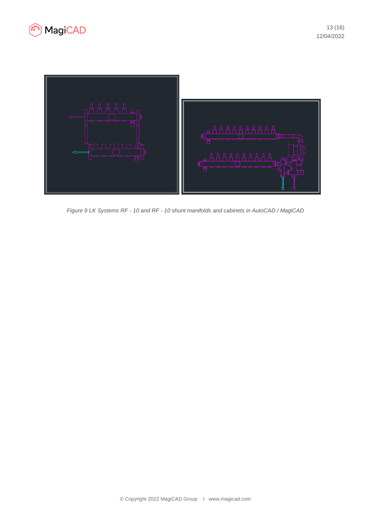



*Figure 9 LK Systems RF - 10 and RF - 10 shunt manifolds and cabinets in AutoCAD / MagiCAD*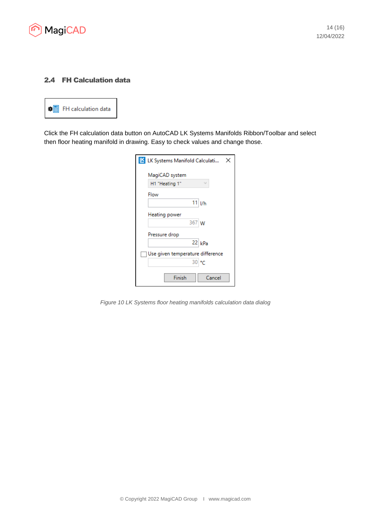

# 2.4 FH Calculation data



Click the FH calculation data button on AutoCAD LK Systems Manifolds Ribbon/Toolbar and select then floor heating manifold in drawing. Easy to check values and change those.

| <b>K</b> LK Systems Manifold Calculati<br>x |
|---------------------------------------------|
| MagiCAD system<br>H1 "Heating 1"            |
| Flow                                        |
| 11<br>I/h<br>Heating power                  |
| 367 W                                       |
| Pressure drop<br>$22$ kPa                   |
|                                             |
| Use given temperature difference<br>30 °C   |
| Finish<br>Cancel                            |

*Figure 10 LK Systems floor heating manifolds calculation data dialog*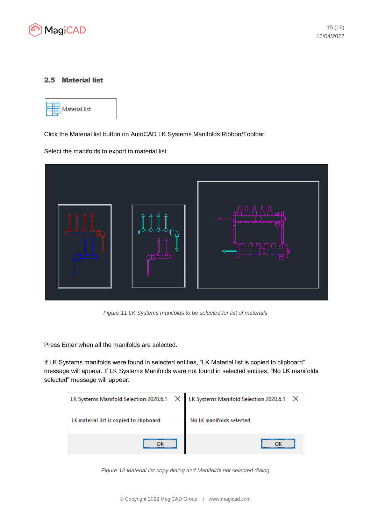

#### 2.5 Material list



Click the Material list button on AutoCAD LK Systems Manifolds Ribbon/Toolbar.

Select the manifolds to export to material list.



*Figure 11 LK Systems manifolds to be selected for list of materials*

Press Enter when all the manifolds are selected.

If LK Systems manifolds were found in selected entities, "LK Material list is copied to clipboard" message will appear. If LK Systems Manifolds ware not found in selected entities, "No LK manifolds selected" message will appear.

| LK Systems Manifold Selection 2020.6.1 X   LK Systems Manifold Selection 2020.6.1 X |                          |  |  |
|-------------------------------------------------------------------------------------|--------------------------|--|--|
| LK material list is copied to clipboard                                             | No LK manifolds selected |  |  |
|                                                                                     |                          |  |  |

*Figure 12 Material list copy dialog and Manifolds not selected dialog*